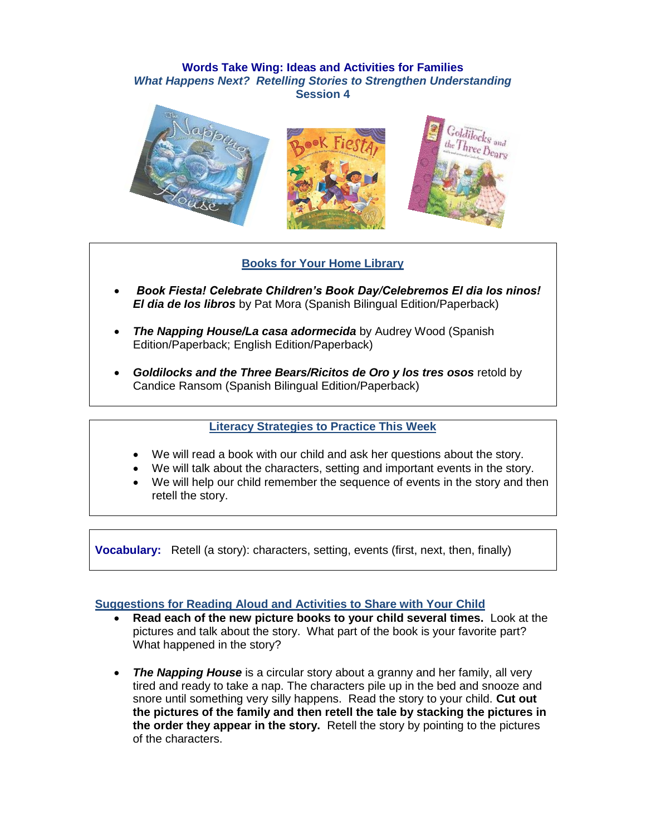### **Words Take Wing: Ideas and Activities for Families** *What Happens Next? Retelling Stories to Strengthen Understanding* **Session 4**



# **Books for Your Home Library**

- *Book Fiesta! Celebrate Children's Book Day/Celebremos El dia los ninos! El dia de Ios libros* by Pat Mora (Spanish Bilingual Edition/Paperback)
- *The Napping House/La casa adormecida* by Audrey Wood (Spanish Edition/Paperback; English Edition/Paperback)
- *Goldilocks and the Three Bears/Ricitos de Oro y los tres osos* retold by Candice Ransom (Spanish Bilingual Edition/Paperback)

# **Literacy Strategies to Practice This Week**

- We will read a book with our child and ask her questions about the story.
- We will talk about the characters, setting and important events in the story.
- We will help our child remember the sequence of events in the story and then retell the story.

**Vocabulary:** Retell (a story): characters, setting, events (first, next, then, finally)

### **Suggestions for Reading Aloud and Activities to Share with Your Child**

- **Read each of the new picture books to your child several times.** Look at the pictures and talk about the story. What part of the book is your favorite part? What happened in the story?
- *The Napping House* is a circular story about a granny and her family, all very tired and ready to take a nap. The characters pile up in the bed and snooze and snore until something very silly happens. Read the story to your child. **Cut out the pictures of the family and then retell the tale by stacking the pictures in the order they appear in the story.** Retell the story by pointing to the pictures of the characters.